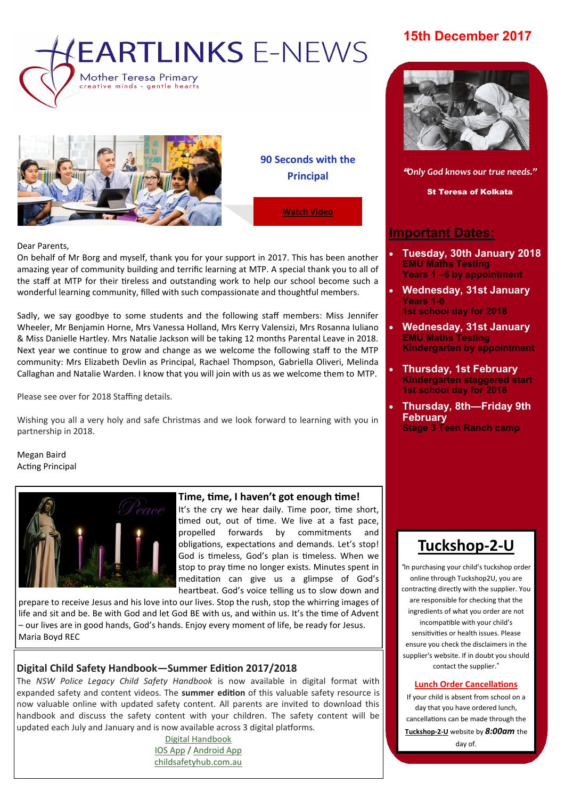# **EARTLINKS E-NEWS Mother Teresa Primary**



reative minds - gentle hearts

**90 Seconds with the Principal**

**[Watch Video](https://www.facebook.com/plugins/video.php?href=https%3A%2F%2Fwww.facebook.com%2FMother.Teresa.Primary%2Fvideos%2F1579997642082732%2F&show_text=0&width=560)**

#### Dear Parents,

On behalf of Mr Borg and myself, thank you for your support in 2017. This has been another amazing year of community building and terrific learning at MTP. A special thank you to all of the staff at MTP for their tireless and outstanding work to help our school become such a wonderful learning community, filled with such compassionate and thoughtful members.

Sadly, we say goodbye to some students and the following staff members: Miss Jennifer Wheeler, Mr Benjamin Horne, Mrs Vanessa Holland, Mrs Kerry Valensizi, Mrs Rosanna Iuliano & Miss Danielle Hartley. Mrs Natalie Jackson will be taking 12 months Parental Leave in 2018. Next year we continue to grow and change as we welcome the following staff to the MTP community: Mrs Elizabeth Devlin as Principal, Rachael Thompson, Gabriella Oliveri, Melinda Callaghan and Natalie Warden. I know that you will join with us as we welcome them to MTP.

Please see over for 2018 Staffing details.

Wishing you all a very holy and safe Christmas and we look forward to learning with you in partnership in 2018.

Megan Baird Acting Principal



#### **Time, time, I haven't got enough time!**

It's the cry we hear daily. Time poor, time short, timed out, out of time. We live at a fast pace, propelled forwards by commitments and obligations, expectations and demands. Let's stop! God is timeless, God's plan is timeless. When we stop to pray time no longer exists. Minutes spent in meditation can give us a glimpse of God's heartbeat. God's voice telling us to slow down and

prepare to receive Jesus and his love into our lives. Stop the rush, stop the whirring images of life and sit and be. Be with God and let God BE with us, and within us. It's the time of Advent – our lives are in good hands, God's hands. Enjoy every moment of life, be ready for Jesus. Maria Boyd REC

### **Digital Child Safety Handbook—Summer Edition 2017/2018**

The *NSW Police Legacy Child Safety Handbook* is now available in digital format with expanded safety and content videos. The **summer edition** of this valuable safety resource is now valuable online with updated safety content. All parents are invited to download this handbook and discuss the safety content with your children. The safety content will be updated each July and January and is now available across 3 digital platforms.

[Digital Handbook](http://nsw.childsafetyhub.com.au/handbook/) [IOS App](https://itunes.apple.com/au/app/child-safety-handbook/id1166244098?mt=8) / [Android App](https://play.google.com/store/apps/details?id=com.jellyfishconnect.childsafetyhandbook&hl=en) [childsafetyhub.com.au](http://www.childsafetyhub.com.au/)

## **15th December 2017**



**N E W S L E T T E R D A T E** "*Only God knows our true needs."*

St Teresa of Kolkata

## **Important Dates:**

- **Tuesday, 30th January 2018 EMU Maths Testing Years 1 –6 by appointment**
- **Wednesday, 31st January Years 1-6 1st school day for 2018**
- **Wednesday, 31st January EMU Maths Testing Kindergarten by appointment**
- **Thursday, 1st February Kindergarten staggered start 1st school day for 2018**
- **Thursday, 8th—Friday 9th February Stage 3 Teen Ranch camp**



*"*In purchasing your child's tuckshop order online through Tuckshop2U, you are contracting directly with the supplier. You are responsible for checking that the ingredients of what you order are not incompatible with your child's sensitivities or health issues. Please ensure you check the disclaimers in the supplier's website. If in doubt you should contact the supplier."

#### **Lunch Order Cancellations**

If your child is absent from school on a day that you have ordered lunch, cancellations can be made through the **[Tuckshop](https://tuckshop2u.com.au/pages/cancel-lunch)-2-U** website by *8:00am* the day of.